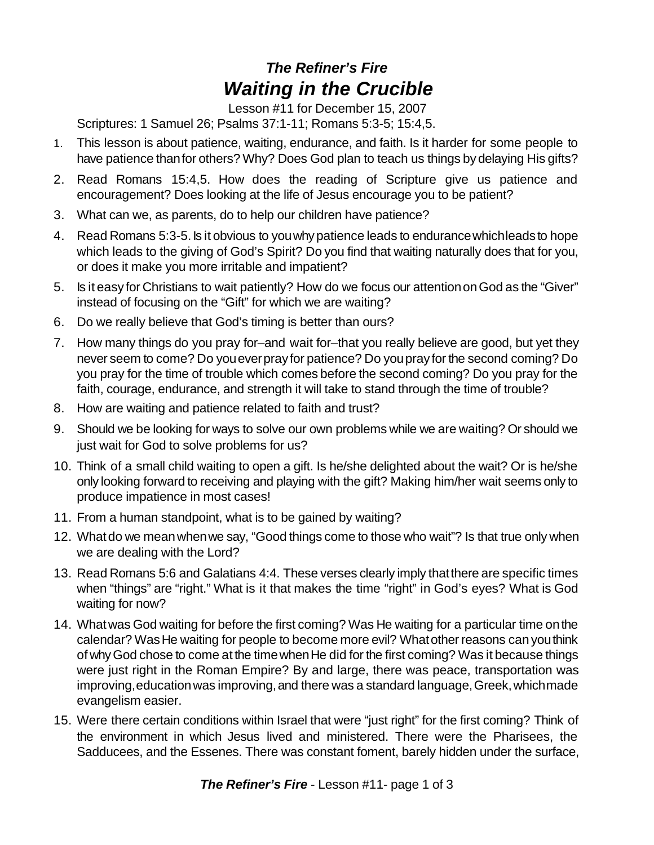## *The Refiner's Fire Waiting in the Crucible*

Lesson #11 for December 15, 2007

Scriptures: 1 Samuel 26; Psalms 37:1-11; Romans 5:3-5; 15:4,5.

- 1. This lesson is about patience, waiting, endurance, and faith. Is it harder for some people to have patience thanfor others? Why? Does God plan to teach us things bydelaying His gifts?
- 2. Read Romans 15:4,5. How does the reading of Scripture give us patience and encouragement? Does looking at the life of Jesus encourage you to be patient?
- 3. What can we, as parents, do to help our children have patience?
- 4. Read Romans 5:3-5.Is it obvious to youwhypatience leads to endurancewhichleadsto hope which leads to the giving of God's Spirit? Do you find that waiting naturally does that for you, or does it make you more irritable and impatient?
- 5. Is it easy for Christians to wait patiently? How do we focus our attentiononGod as the "Giver" instead of focusing on the "Gift" for which we are waiting?
- 6. Do we really believe that God's timing is better than ours?
- 7. How many things do you pray for–and wait for–that you really believe are good, but yet they never seem to come? Do youeverprayfor patience? Do youprayfor the second coming? Do you pray for the time of trouble which comes before the second coming? Do you pray for the faith, courage, endurance, and strength it will take to stand through the time of trouble?
- 8. How are waiting and patience related to faith and trust?
- 9. Should we be looking for ways to solve our own problems while we are waiting? Or should we just wait for God to solve problems for us?
- 10. Think of a small child waiting to open a gift. Is he/she delighted about the wait? Or is he/she only looking forward to receiving and playing with the gift? Making him/her wait seems only to produce impatience in most cases!
- 11. From a human standpoint, what is to be gained by waiting?
- 12. Whatdo we meanwhenwe say, "Good things come to those who wait"? Is that true only when we are dealing with the Lord?
- 13. Read Romans 5:6 and Galatians 4:4. These verses clearly imply thatthere are specific times when "things" are "right." What is it that makes the time "right" in God's eyes? What is God waiting for now?
- 14. What was God waiting for before the first coming? Was He waiting for a particular time on the calendar? WasHe waiting for people to become more evil? Whatother reasons canyouthink of why God chose to come at the time when He did for the first coming? Was it because things were just right in the Roman Empire? By and large, there was peace, transportation was improving, education was improving, and there was a standard language, Greek, which made evangelism easier.
- 15. Were there certain conditions within Israel that were "just right" for the first coming? Think of the environment in which Jesus lived and ministered. There were the Pharisees, the Sadducees, and the Essenes. There was constant foment, barely hidden under the surface,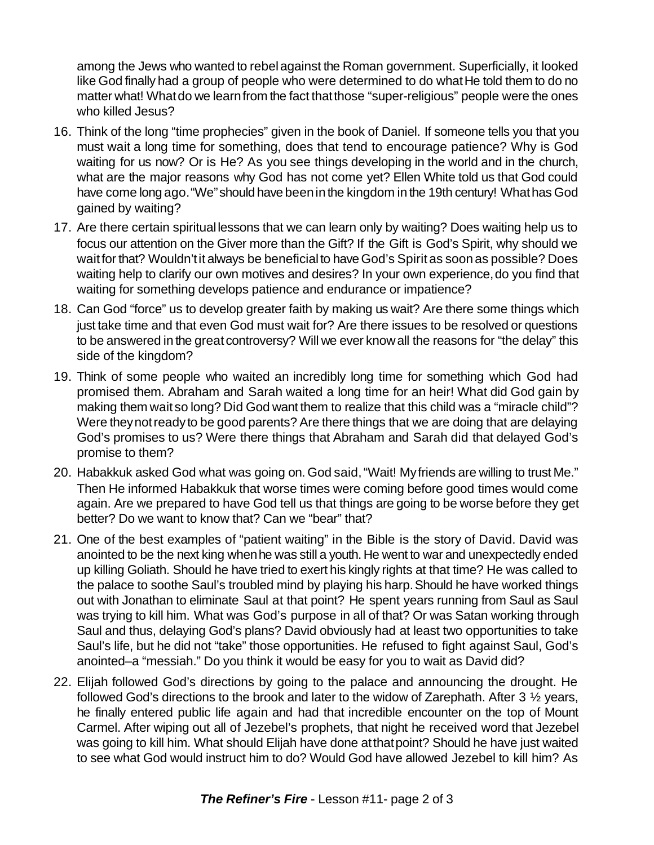among the Jews who wanted to rebelagainst the Roman government. Superficially, it looked like God finally had a group of people who were determined to do what He told them to do no matter what! What do we learn from the fact that those "super-religious" people were the ones who killed Jesus?

- 16. Think of the long "time prophecies" given in the book of Daniel. If someone tells you that you must wait a long time for something, does that tend to encourage patience? Why is God waiting for us now? Or is He? As you see things developing in the world and in the church, what are the major reasons why God has not come yet? Ellen White told us that God could have come long ago. "We" should have been in the kingdom in the 19th century! What has God gained by waiting?
- 17. Are there certain spiritual lessons that we can learn only by waiting? Does waiting help us to focus our attention on the Giver more than the Gift? If the Gift is God's Spirit, why should we wait for that? Wouldn't it always be beneficial to have God's Spirit as soon as possible? Does waiting help to clarify our own motives and desires? In your own experience, do you find that waiting for something develops patience and endurance or impatience?
- 18. Can God "force" us to develop greater faith by making us wait? Are there some things which just take time and that even God must wait for? Are there issues to be resolved or questions to be answered in the great controversy? Will we ever knowall the reasons for "the delay" this side of the kingdom?
- 19. Think of some people who waited an incredibly long time for something which God had promised them. Abraham and Sarah waited a long time for an heir! What did God gain by making them wait so long? Did God want them to realize that this child was a "miracle child"? Were theynotreadyto be good parents? Are there things that we are doing that are delaying God's promises to us? Were there things that Abraham and Sarah did that delayed God's promise to them?
- 20. Habakkuk asked God what was going on. God said,"Wait! Myfriends are willing to trust Me." Then He informed Habakkuk that worse times were coming before good times would come again. Are we prepared to have God tell us that things are going to be worse before they get better? Do we want to know that? Can we "bear" that?
- 21. One of the best examples of "patient waiting" in the Bible is the story of David. David was anointed to be the next king whenhe was still a youth. He went to war and unexpectedly ended up killing Goliath. Should he have tried to exert his kingly rights at that time? He was called to the palace to soothe Saul's troubled mind by playing his harp. Should he have worked things out with Jonathan to eliminate Saul at that point? He spent years running from Saul as Saul was trying to kill him. What was God's purpose in all of that? Or was Satan working through Saul and thus, delaying God's plans? David obviously had at least two opportunities to take Saul's life, but he did not "take" those opportunities. He refused to fight against Saul, God's anointed–a "messiah." Do you think it would be easy for you to wait as David did?
- 22. Elijah followed God's directions by going to the palace and announcing the drought. He followed God's directions to the brook and later to the widow of Zarephath. After 3 ½ years, he finally entered public life again and had that incredible encounter on the top of Mount Carmel. After wiping out all of Jezebel's prophets, that night he received word that Jezebel was going to kill him. What should Elijah have done at that point? Should he have just waited to see what God would instruct him to do? Would God have allowed Jezebel to kill him? As